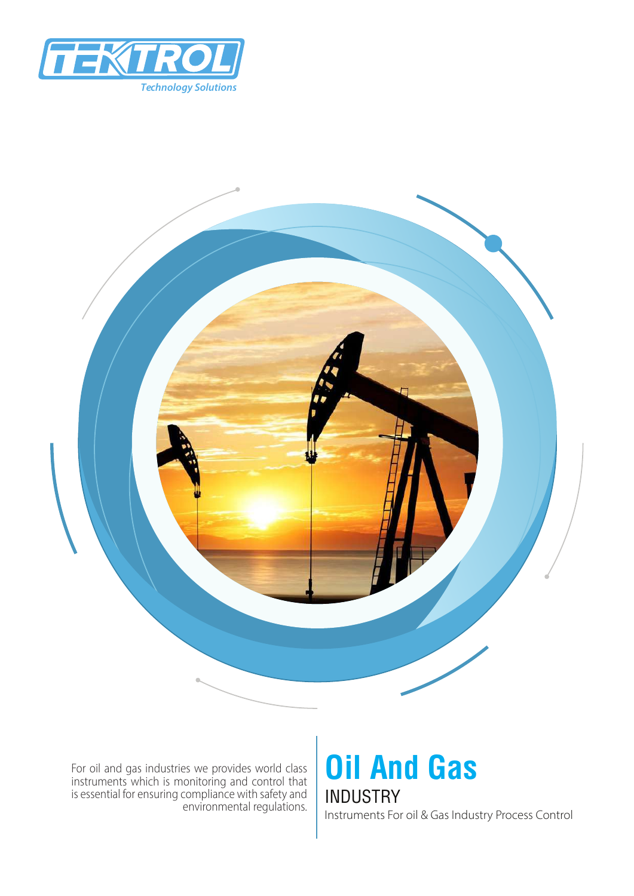



For oil and gas industries we provides world class instruments which is monitoring and control that is essential for ensuring compliance with safety and environmental regulations.

### **Oil And Gas** INDUSTRY Instruments For oil & Gas Industry Process Control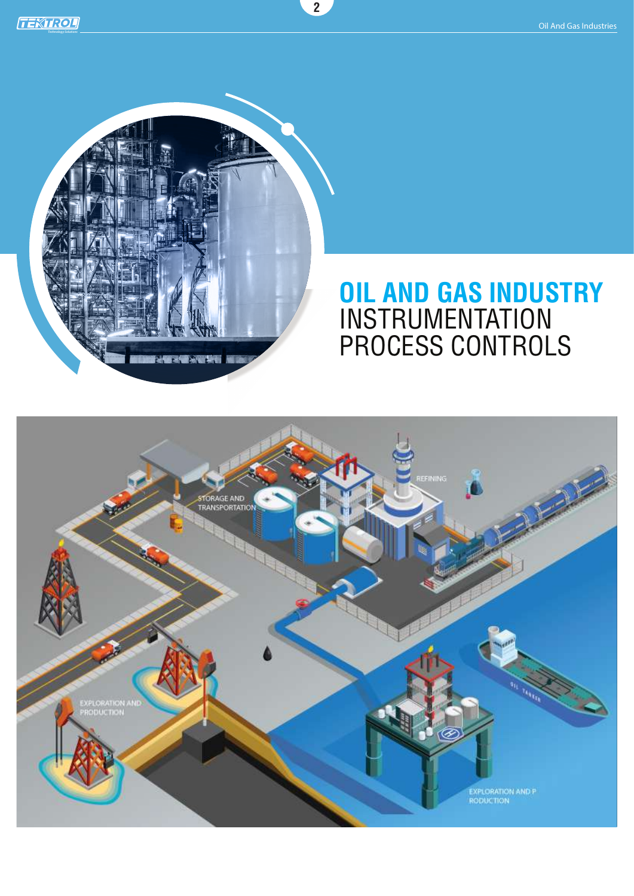

### **OIL AND GAS INDUSTRY** INSTRUMENTATION PROCESS CONTROLS



**2**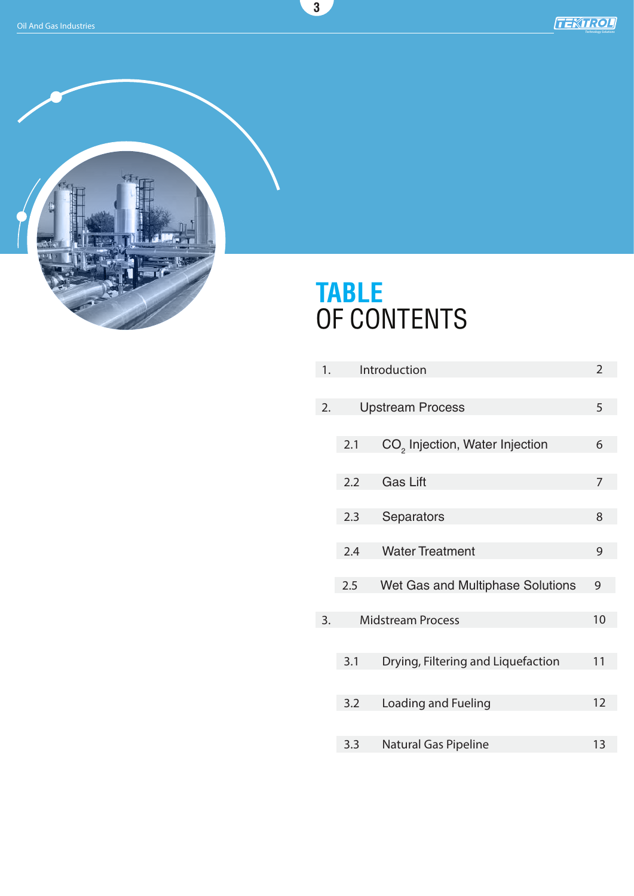

# **TABLE** OF CONTENTS

**3**

| 1. | Introduction             |                                            | $\overline{2}$ |
|----|--------------------------|--------------------------------------------|----------------|
|    |                          |                                            |                |
| 2. | <b>Upstream Process</b>  |                                            | 5              |
|    |                          |                                            |                |
|    | 2.1                      | CO <sub>2</sub> Injection, Water Injection | 6              |
|    |                          |                                            |                |
|    | 2.2                      | <b>Gas Lift</b>                            | 7              |
|    |                          |                                            |                |
|    | 2.3                      | Separators                                 | 8              |
|    | 2.4                      | <b>Water Treatment</b>                     | 9              |
|    |                          |                                            |                |
|    | 2.5                      | Wet Gas and Multiphase Solutions           | 9              |
|    |                          |                                            |                |
| 3. | <b>Midstream Process</b> |                                            | 10             |
|    |                          |                                            |                |
|    | 3.1                      | Drying, Filtering and Liquefaction         | 11             |
|    |                          |                                            |                |
|    | 3.2                      | Loading and Fueling                        | 12             |
|    |                          |                                            |                |
|    | 3.3                      | <b>Natural Gas Pipeline</b>                | 13             |
|    |                          |                                            |                |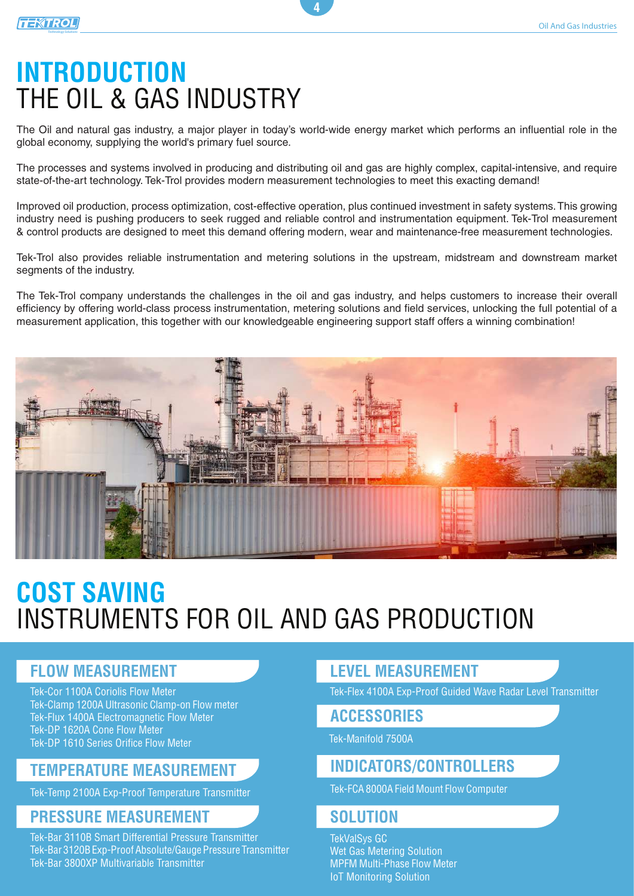#### **TEXTROL** *Technology Solutions*

### **INTRODUCTION** THE OIL & GAS INDUSTRY

The Oil and natural gas industry, a major player in today's world-wide energy market which performs an influential role in the global economy, supplying the world's primary fuel source.

**4**

The processes and systems involved in producing and distributing oil and gas are highly complex, capital-intensive, and require state-of-the-art technology. Tek-Trol provides modern measurement technologies to meet this exacting demand!

Improved oil production, process optimization, cost-effective operation, plus continued investment in safety systems. This growing industry need is pushing producers to seek rugged and reliable control and instrumentation equipment. Tek-Trol measurement & control products are designed to meet this demand offering modern, wear and maintenance-free measurement technologies.

Tek-Trol also provides reliable instrumentation and metering solutions in the upstream, midstream and downstream market segments of the industry.

The Tek-Trol company understands the challenges in the oil and gas industry, and helps customers to increase their overall efficiency by offering world-class process instrumentation, metering solutions and field services, unlocking the full potential of a measurement application, this together with our knowledgeable engineering support staff offers a winning combination!



# **COST SAVING** INSTRUMENTS FOR OIL AND GAS PRODUCTION

### **FLOW MEASUREMENT**

Tek-Cor 1100A Coriolis Flow Meter Tek-Clamp 1200A Ultrasonic Clamp-on Flow meter Tek-Flux 1400A Electromagnetic Flow Meter Tek-DP 1620A Cone Flow Meter Tek-DP 1610 Series Orifice Flow Meter

### **TEMPERATURE MEASUREMENT**

Tek-Temp 2100A Exp-Proof Temperature Transmitter

### **PRESSURE MEASUREMENT**

Tek-Bar 3110B Smart Differential Pressure Transmitter Tek-Bar 3120B Exp-Proof Absolute/Gauge Pressure Transmitter Tek-Bar 3800XP Multivariable Transmitter

### **LEVEL MEASUREMENT**

Tek-Flex 4100A Exp-Proof Guided Wave Radar Level Transmitter

### **ACCESSORIES**

Tek-Manifold 7500A

### **INDICATORS/CONTROLLERS**

Tek-FCA 8000A Field Mount Flow Computer

### **SOLUTION**

TekValSys GC Wet Gas Metering Solution MPFM Multi-Phase Flow Meter IoT Monitoring Solution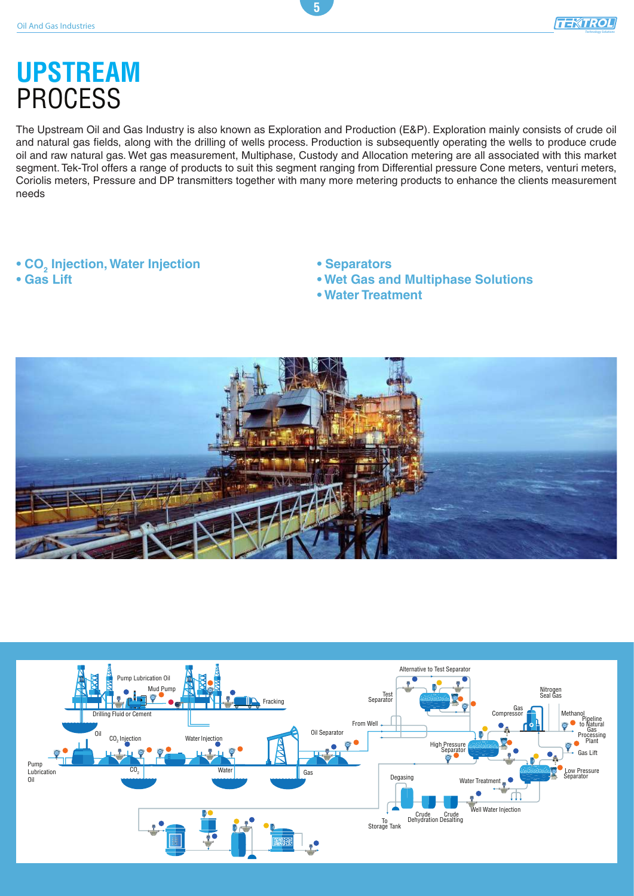# **UPSTREAM** PROCESS

The Upstream Oil and Gas Industry is also known as Exploration and Production (E&P). Exploration mainly consists of crude oil and natural gas fields, along with the drilling of wells process. Production is subsequently operating the wells to produce crude oil and raw natural gas. Wet gas measurement, Multiphase, Custody and Allocation metering are all associated with this market segment. Tek-Trol offers a range of products to suit this segment ranging from Differential pressure Cone meters, venturi meters, Coriolis meters, Pressure and DP transmitters together with many more metering products to enhance the clients measurement needs

**5**

### $\bullet$  CO<sub>2</sub> Injection, Water Injection

**• Gas Lift**

### **• Separators**

- **Wet Gas and Multiphase Solutions**
- **Water Treatment**



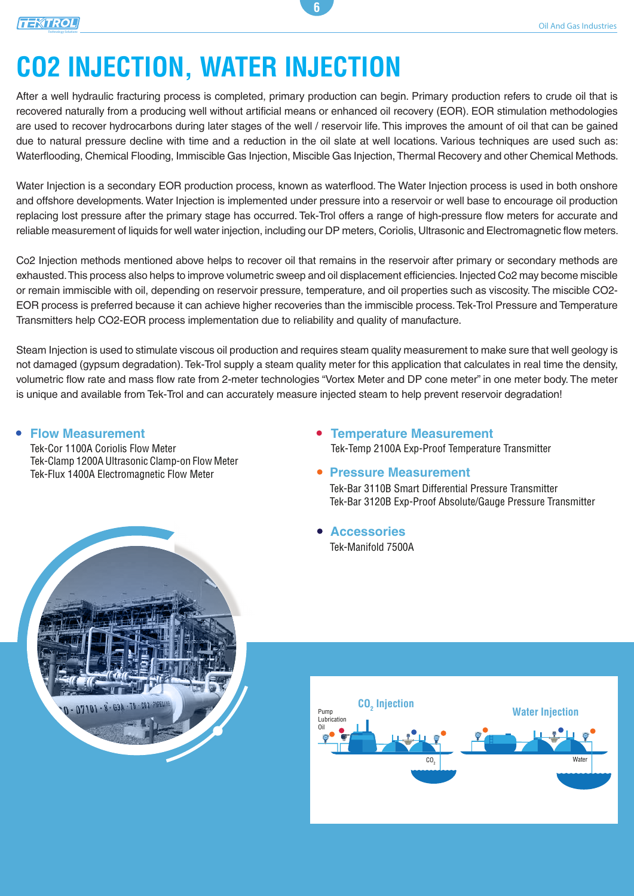# **CO2 INJECTION, WATER INJECTION**

After a well hydraulic fracturing process is completed, primary production can begin. Primary production refers to crude oil that is recovered naturally from a producing well without artificial means or enhanced oil recovery (EOR). EOR stimulation methodologies are used to recover hydrocarbons during later stages of the well / reservoir life. This improves the amount of oil that can be gained due to natural pressure decline with time and a reduction in the oil slate at well locations. Various techniques are used such as: Waterflooding, Chemical Flooding, Immiscible Gas Injection, Miscible Gas Injection, Thermal Recovery and other Chemical Methods.

**6**

Water Injection is a secondary EOR production process, known as waterflood. The Water Injection process is used in both onshore and offshore developments. Water Injection is implemented under pressure into a reservoir or well base to encourage oil production replacing lost pressure after the primary stage has occurred. Tek-Trol offers a range of high-pressure flow meters for accurate and reliable measurement of liquids for well water injection, including our DP meters, Coriolis, Ultrasonic and Electromagnetic flow meters.

Co2 Injection methods mentioned above helps to recover oil that remains in the reservoir after primary or secondary methods are exhausted. This process also helps to improve volumetric sweep and oil displacement efficiencies. Injected Co2 may become miscible or remain immiscible with oil, depending on reservoir pressure, temperature, and oil properties such as viscosity. The miscible CO2- EOR process is preferred because it can achieve higher recoveries than the immiscible process. Tek-Trol Pressure and Temperature Transmitters help CO2-EOR process implementation due to reliability and quality of manufacture.

Steam Injection is used to stimulate viscous oil production and requires steam quality measurement to make sure that well geology is not damaged (gypsum degradation). Tek-Trol supply a steam quality meter for this application that calculates in real time the density, volumetric flow rate and mass flow rate from 2-meter technologies "Vortex Meter and DP cone meter" in one meter body. The meter is unique and available from Tek-Trol and can accurately measure injected steam to help prevent reservoir degradation!

#### **Flow Measurement**

Tek-Cor 1100A Coriolis Flow Meter Tek-Clamp 1200A Ultrasonic Clamp-on Flow Meter Tek-Flux 1400A Electromagnetic Flow Meter

- **Temperature Measurement**  Tek-Temp 2100A Exp-Proof Temperature Transmitter
- **Pressure Measurement**

Tek-Bar 3110B Smart Differential Pressure Transmitter Tek-Bar 3120B Exp-Proof Absolute/Gauge Pressure Transmitter

**Accessories** Tek-Manifold 7500A



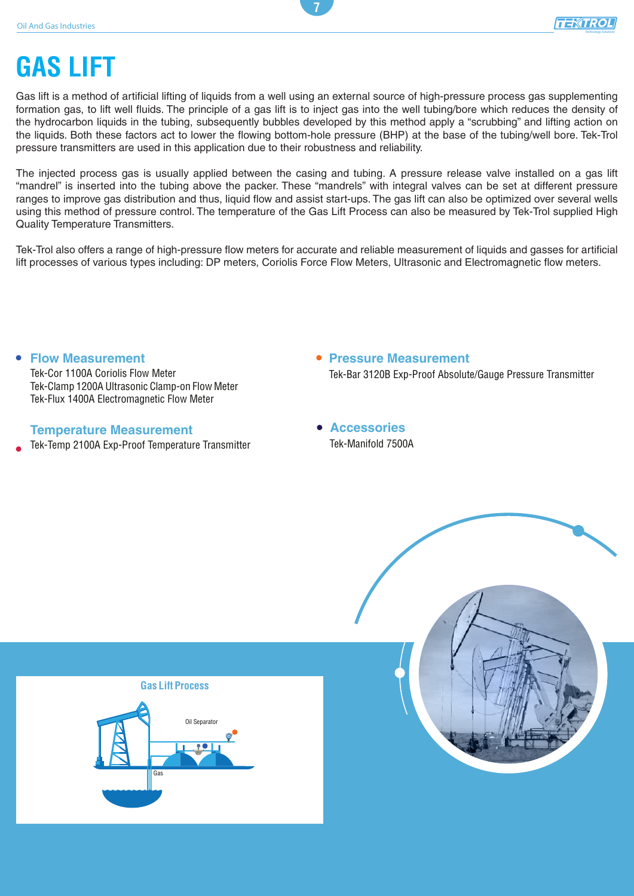*Technology Solutions*

# **GAS LIFT**

Gas lift is a method of artificial lifting of liquids from a well using an external source of high-pressure process gas supplementing formation gas, to lift well fluids. The principle of a gas lift is to inject gas into the well tubing/bore which reduces the density of the hydrocarbon liquids in the tubing, subsequently bubbles developed by this method apply a "scrubbing" and lifting action on the liquids. Both these factors act to lower the flowing bottom-hole pressure (BHP) at the base of the tubing/well bore. Tek-Trol pressure transmitters are used in this application due to their robustness and reliability.

**7**

The injected process gas is usually applied between the casing and tubing. A pressure release valve installed on a gas lift "mandrel" is inserted into the tubing above the packer. These "mandrels" with integral valves can be set at different pressure ranges to improve gas distribution and thus, liquid flow and assist start-ups. The gas lift can also be optimized over several wells using this method of pressure control. The temperature of the Gas Lift Process can also be measured by Tek-Trol supplied High Quality Temperature Transmitters.

Tek-Trol also offers a range of high-pressure flow meters for accurate and reliable measurement of liquids and gasses for artificial lift processes of various types including: DP meters, Coriolis Force Flow Meters, Ultrasonic and Electromagnetic flow meters.

**Flow Measurement** Tek-Cor 1100A Coriolis Flow Meter Tek-Clamp 1200A Ultrasonic Clamp-on Flow Meter Tek-Flux 1400A Electromagnetic Flow Meter

#### **Temperature Measurement**

- Tek-Temp 2100A Exp-Proof Temperature Transmitter
- **Pressure Measurement**  Tek-Bar 3120B Exp-Proof Absolute/Gauge Pressure Transmitter
- **Accessories** Tek-Manifold 7500A

#### **Gas Lift Process**



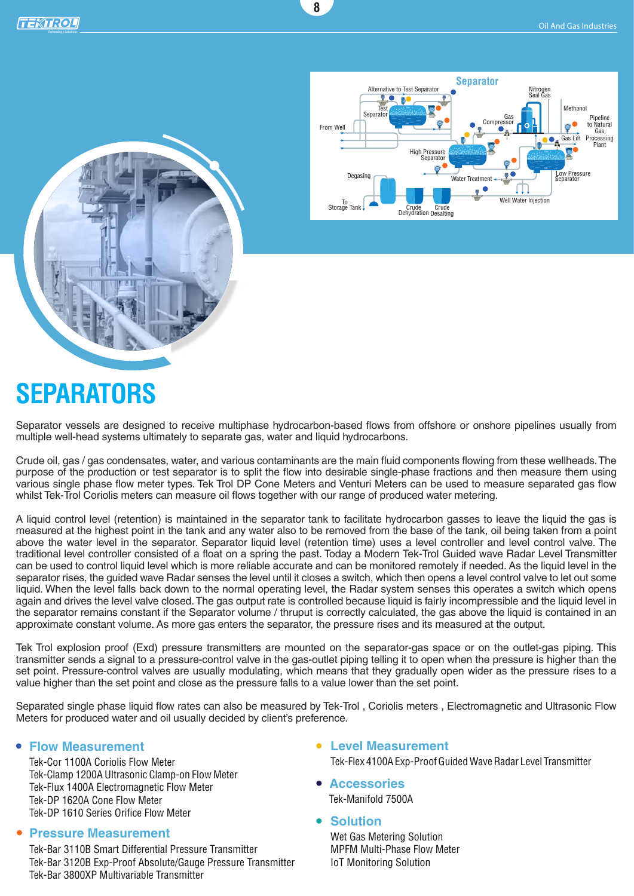



# **SEPARATORS**

Separator vessels are designed to receive multiphase hydrocarbon-based flows from offshore or onshore pipelines usually from multiple well-head systems ultimately to separate gas, water and liquid hydrocarbons.

**8**

Crude oil, gas / gas condensates, water, and various contaminants are the main fluid components flowing from these wellheads. The purpose of the production or test separator is to split the flow into desirable single-phase fractions and then measure them using various single phase flow meter types. Tek Trol DP Cone Meters and Venturi Meters can be used to measure separated gas flow whilst Tek-Trol Coriolis meters can measure oil flows together with our range of produced water metering.

A liquid control level (retention) is maintained in the separator tank to facilitate hydrocarbon gasses to leave the liquid the gas is measured at the highest point in the tank and any water also to be removed from the base of the tank, oil being taken from a point above the water level in the separator. Separator liquid level (retention time) uses a level controller and level control valve. The traditional level controller consisted of a float on a spring the past. Today a Modern Tek-Trol Guided wave Radar Level Transmitter can be used to control liquid level which is more reliable accurate and can be monitored remotely if needed. As the liquid level in the separator rises, the guided wave Radar senses the level until it closes a switch, which then opens a level control valve to let out some liquid. When the level falls back down to the normal operating level, the Radar system senses this operates a switch which opens again and drives the level valve closed. The gas output rate is controlled because liquid is fairly incompressible and the liquid level in the separator remains constant if the Separator volume / thruput is correctly calculated, the gas above the liquid is contained in an approximate constant volume. As more gas enters the separator, the pressure rises and its measured at the output.

Tek Trol explosion proof (Exd) pressure transmitters are mounted on the separator-gas space or on the outlet-gas piping. This transmitter sends a signal to a pressure-control valve in the gas-outlet piping telling it to open when the pressure is higher than the set point. Pressure-control valves are usually modulating, which means that they gradually open wider as the pressure rises to a value higher than the set point and close as the pressure falls to a value lower than the set point.

Separated single phase liquid flow rates can also be measured by Tek-Trol , Coriolis meters , Electromagnetic and Ultrasonic Flow Meters for produced water and oil usually decided by client's preference.

#### **Flow Measurement Level Measurement**

Tek-Cor 1100A Coriolis Flow Meter Tek-Clamp 1200A Ultrasonic Clamp-on Flow Meter Tek-Flux 1400A Electromagnetic Flow Meter Tek-DP 1620A Cone Flow Meter Tek-DP 1610 Series Orifice Flow Meter

#### **Pressure Measurement**

Tek-Bar 3110B Smart Differential Pressure Transmitter Tek-Bar 3120B Exp-Proof Absolute/Gauge Pressure Transmitter Tek-Bar 3800XP Multivariable Transmitter

- Tek-Flex 4100A Exp-Proof Guided Wave Radar Level Transmitter
- **Accessories** Tek-Manifold 7500A
- **Solution**

Wet Gas Metering Solution MPFM Multi-Phase Flow Meter IoT Monitoring Solution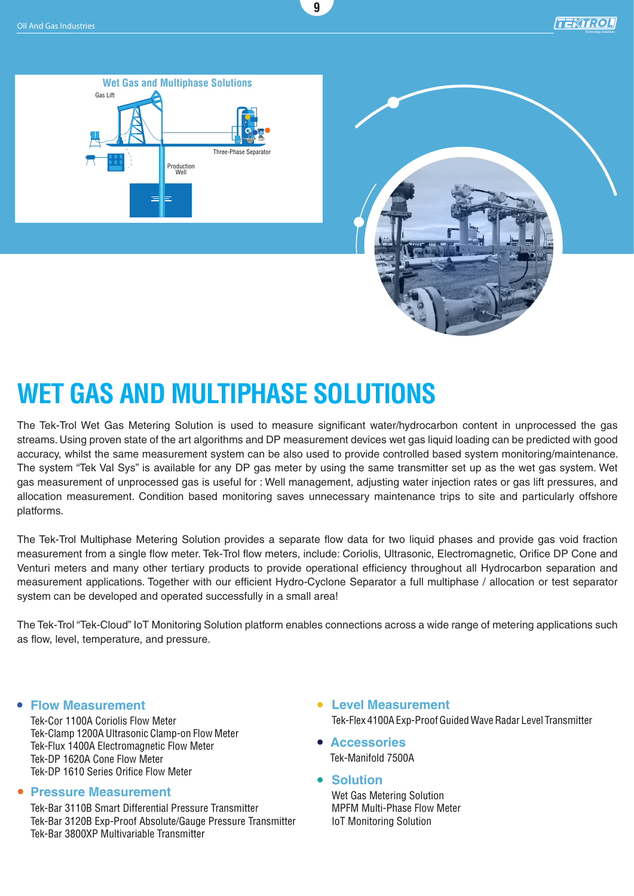*Technology Solutions*





# **WET GAS AND MULTIPHASE SOLUTIONS**

The Tek-Trol Wet Gas Metering Solution is used to measure significant water/hydrocarbon content in unprocessed the gas streams. Using proven state of the art algorithms and DP measurement devices wet gas liquid loading can be predicted with good accuracy, whilst the same measurement system can be also used to provide controlled based system monitoring/maintenance. The system "Tek Val Sys" is available for any DP gas meter by using the same transmitter set up as the wet gas system. Wet gas measurement of unprocessed gas is useful for : Well management, adjusting water injection rates or gas lift pressures, and allocation measurement. Condition based monitoring saves unnecessary maintenance trips to site and particularly offshore platforms.

**9**

The Tek-Trol Multiphase Metering Solution provides a separate flow data for two liquid phases and provide gas void fraction measurement from a single flow meter. Tek-Trol flow meters, include: Coriolis, Ultrasonic, Electromagnetic, Orifice DP Cone and Venturi meters and many other tertiary products to provide operational efficiency throughout all Hydrocarbon separation and measurement applications. Together with our efficient Hydro-Cyclone Separator a full multiphase / allocation or test separator system can be developed and operated successfully in a small area!

The Tek-Trol "Tek-Cloud" IoT Monitoring Solution platform enables connections across a wide range of metering applications such as flow, level, temperature, and pressure.

Tek-Cor 1100A Coriolis Flow Meter Tek-Clamp 1200A Ultrasonic Clamp-on Flow Meter Tek-Flux 1400A Electromagnetic Flow Meter Tek-DP 1620A Cone Flow Meter Tek-DP 1610 Series Orifice Flow Meter

#### **Pressure Measurement**

Tek-Bar 3110B Smart Differential Pressure Transmitter Tek-Bar 3120B Exp-Proof Absolute/Gauge Pressure Transmitter Tek-Bar 3800XP Multivariable Transmitter

- **Flow Measurement Level Measurement** Tek-Flex 4100A Exp-Proof Guided Wave Radar Level Transmitter
	- **Accessories** Tek-Manifold 7500A
	- **Solution**

Wet Gas Metering Solution MPFM Multi-Phase Flow Meter IoT Monitoring Solution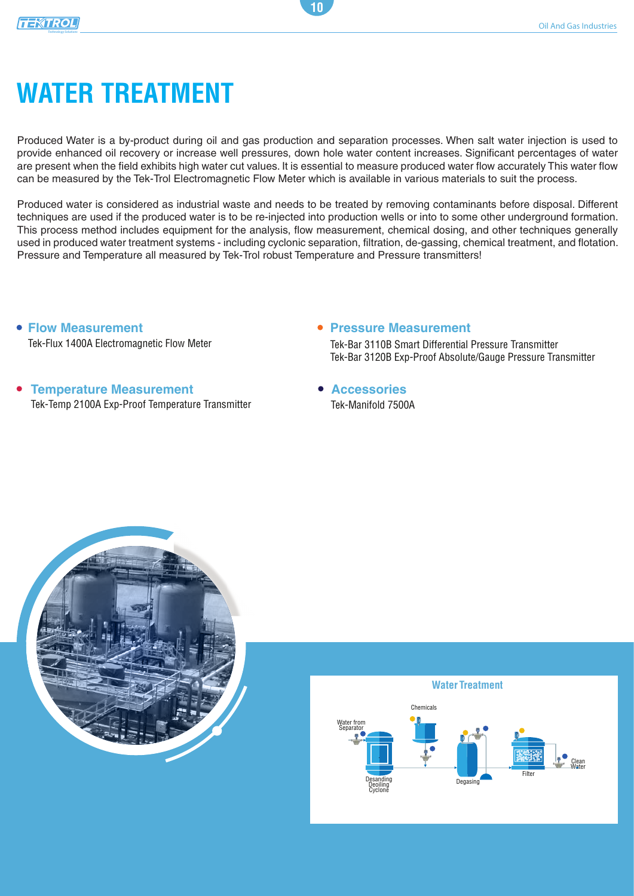# **WATER TREATMENT**

Produced Water is a by-product during oil and gas production and separation processes. When salt water injection is used to provide enhanced oil recovery or increase well pressures, down hole water content increases. Significant percentages of water are present when the field exhibits high water cut values. It is essential to measure produced water flow accurately This water flow can be measured by the Tek-Trol Electromagnetic Flow Meter which is available in various materials to suit the process.

**10**

Produced water is considered as industrial waste and needs to be treated by removing contaminants before disposal. Different techniques are used if the produced water is to be re-injected into production wells or into to some other underground formation. This process method includes equipment for the analysis, flow measurement, chemical dosing, and other techniques generally used in produced water treatment systems - including cyclonic separation, filtration, de-gassing, chemical treatment, and flotation. Pressure and Temperature all measured by Tek-Trol robust Temperature and Pressure transmitters!

**Flow Measurement** Tek-Flux 1400A Electromagnetic Flow Meter

### **Temperature Measurement**  Tek-Temp 2100A Exp-Proof Temperature Transmitter

**Pressure Measurement** 

Tek-Bar 3110B Smart Differential Pressure Transmitter Tek-Bar 3120B Exp-Proof Absolute/Gauge Pressure Transmitter

**Accessories** Tek-Manifold 7500A



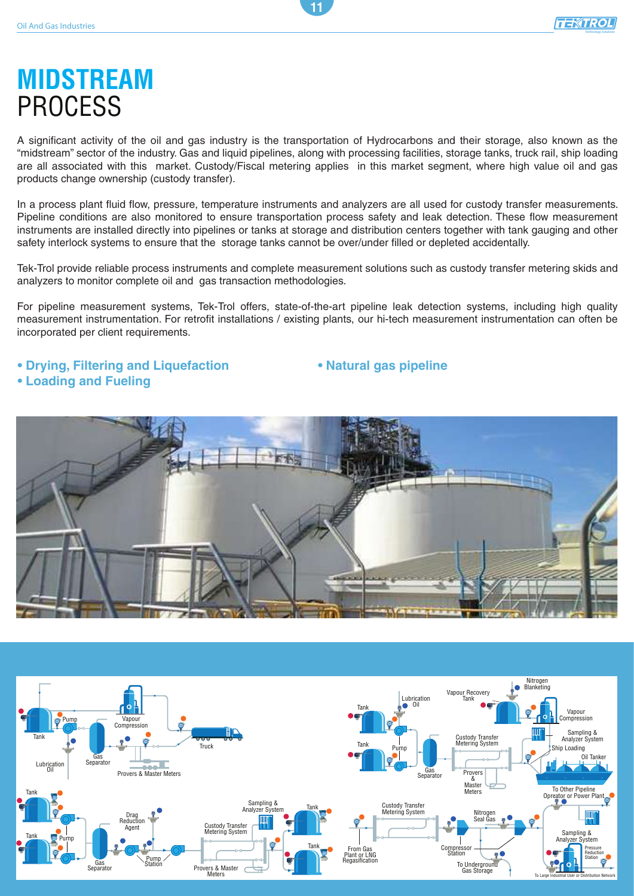## **MIDSTREAM** PROCESS

A significant activity of the oil and gas industry is the transportation of Hydrocarbons and their storage, also known as the "midstream" sector of the industry. Gas and liquid pipelines, along with processing facilities, storage tanks, truck rail, ship loading are all associated with this market. Custody/Fiscal metering applies in this market segment, where high value oil and gas products change ownership (custody transfer).

**11**

In a process plant fluid flow, pressure, temperature instruments and analyzers are all used for custody transfer measurements. Pipeline conditions are also monitored to ensure transportation process safety and leak detection. These flow measurement instruments are installed directly into pipelines or tanks at storage and distribution centers together with tank gauging and other safety interlock systems to ensure that the storage tanks cannot be over/under filled or depleted accidentally.

Tek-Trol provide reliable process instruments and complete measurement solutions such as custody transfer metering skids and analyzers to monitor complete oil and gas transaction methodologies.

For pipeline measurement systems, Tek-Trol offers, state-of-the-art pipeline leak detection systems, including high quality measurement instrumentation. For retrofit installations / existing plants, our hi-tech measurement instrumentation can often be incorporated per client requirements.

### **• Drying, Filtering and Liquefaction**

**• Loading and Fueling**

**• Natural gas pipeline**



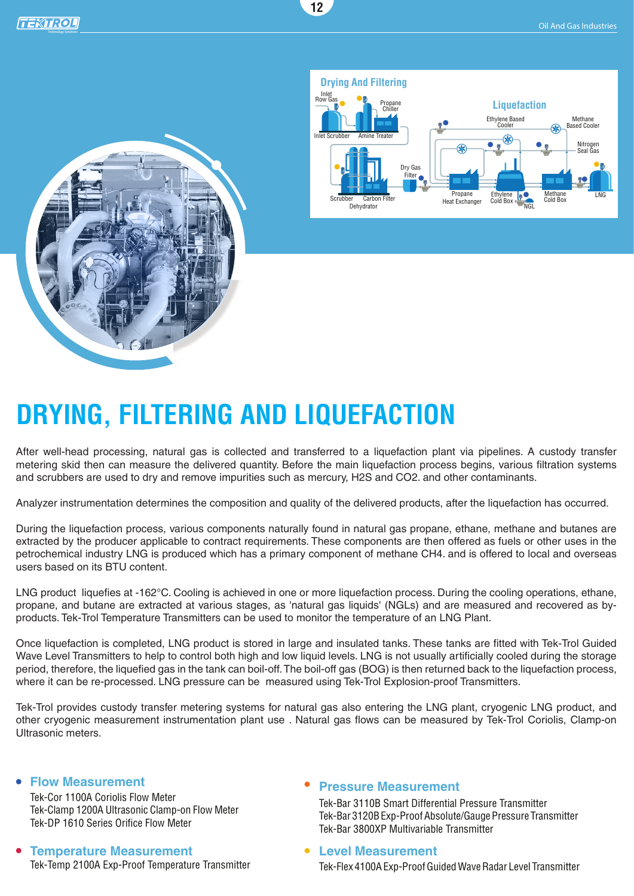



# **DRYING, FILTERING AND LIQUEFACTION**

After well-head processing, natural gas is collected and transferred to a liquefaction plant via pipelines. A custody transfer metering skid then can measure the delivered quantity. Before the main liquefaction process begins, various filtration systems and scrubbers are used to dry and remove impurities such as mercury, H2S and CO2. and other contaminants.

**12**

Analyzer instrumentation determines the composition and quality of the delivered products, after the liquefaction has occurred.

During the liquefaction process, various components naturally found in natural gas propane, ethane, methane and butanes are extracted by the producer applicable to contract requirements. These components are then offered as fuels or other uses in the petrochemical industry LNG is produced which has a primary component of methane CH4. and is offered to local and overseas users based on its BTU content.

LNG product liquefies at -162°C. Cooling is achieved in one or more liquefaction process. During the cooling operations, ethane, propane, and butane are extracted at various stages, as 'natural gas liquids' (NGLs) and are measured and recovered as byproducts. Tek-Trol Temperature Transmitters can be used to monitor the temperature of an LNG Plant.

Once liquefaction is completed, LNG product is stored in large and insulated tanks. These tanks are fitted with Tek-Trol Guided Wave Level Transmitters to help to control both high and low liquid levels. LNG is not usually artificially cooled during the storage period, therefore, the liquefied gas in the tank can boil-off. The boil-off gas (BOG) is then returned back to the liquefaction process, where it can be re-processed. LNG pressure can be measured using Tek-Trol Explosion-proof Transmitters.

Tek-Trol provides custody transfer metering systems for natural gas also entering the LNG plant, cryogenic LNG product, and other cryogenic measurement instrumentation plant use . Natural gas flows can be measured by Tek-Trol Coriolis, Clamp-on Ultrasonic meters.

#### **Flow Measurement**

Tek-Cor 1100A Coriolis Flow Meter Tek-Clamp 1200A Ultrasonic Clamp-on Flow Meter Tek-DP 1610 Series Orifice Flow Meter

### **Temperature Measurement**  Tek-Temp 2100A Exp-Proof Temperature Transmitter

### **Pressure Measurement**

Tek-Bar 3110B Smart Differential Pressure Transmitter Tek-Bar 3120B Exp-Proof Absolute/Gauge Pressure Transmitter Tek-Bar 3800XP Multivariable Transmitter

#### **Level Measurement**

Tek-Flex 4100A Exp-Proof Guided Wave Radar Level Transmitter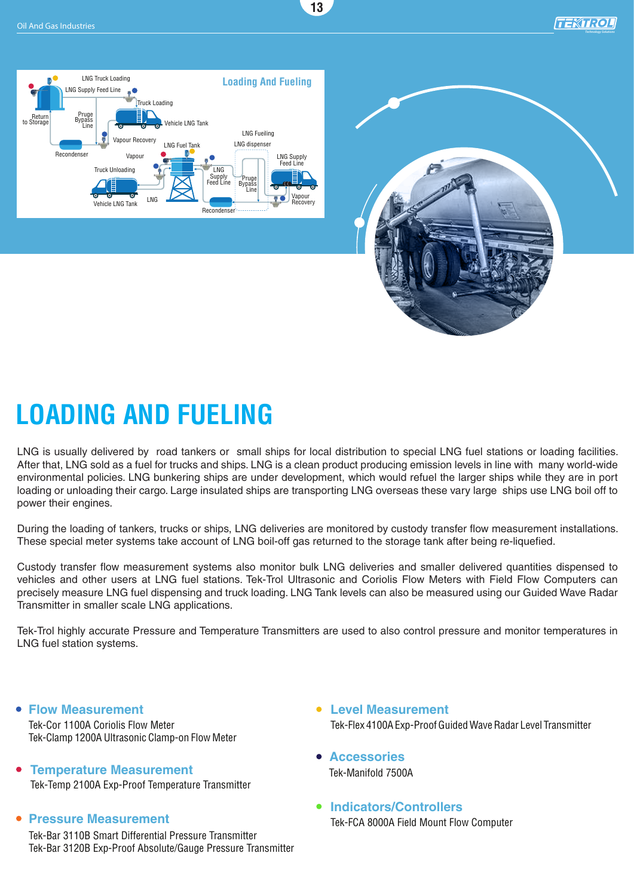**13**

*Technology Solutions*





# **LOADING AND FUELING**

LNG is usually delivered by road tankers or small ships for local distribution to special LNG fuel stations or loading facilities. After that, LNG sold as a fuel for trucks and ships. LNG is a clean product producing emission levels in line with many world-wide environmental policies. LNG bunkering ships are under development, which would refuel the larger ships while they are in port loading or unloading their cargo. Large insulated ships are transporting LNG overseas these vary large ships use LNG boil off to power their engines.

During the loading of tankers, trucks or ships, LNG deliveries are monitored by custody transfer flow measurement installations. These special meter systems take account of LNG boil-off gas returned to the storage tank after being re-liquefied.

Custody transfer flow measurement systems also monitor bulk LNG deliveries and smaller delivered quantities dispensed to vehicles and other users at LNG fuel stations. Tek-Trol Ultrasonic and Coriolis Flow Meters with Field Flow Computers can precisely measure LNG fuel dispensing and truck loading. LNG Tank levels can also be measured using our Guided Wave Radar Transmitter in smaller scale LNG applications.

Tek-Trol highly accurate Pressure and Temperature Transmitters are used to also control pressure and monitor temperatures in LNG fuel station systems.

**Flow Measurement Level Measurement**

Tek-Cor 1100A Coriolis Flow Meter Tek-Clamp 1200A Ultrasonic Clamp-on Flow Meter

- **Temperature Measurement**  Tek-Temp 2100A Exp-Proof Temperature Transmitter
- **Pressure Measurement**

Tek-Bar 3110B Smart Differential Pressure Transmitter Tek-Bar 3120B Exp-Proof Absolute/Gauge Pressure Transmitter

- Tek-Flex 4100A Exp-Proof Guided Wave Radar Level Transmitter
- **Accessories** Tek-Manifold 7500A
- **Indicators/Controllers** Tek-FCA 8000A Field Mount Flow Computer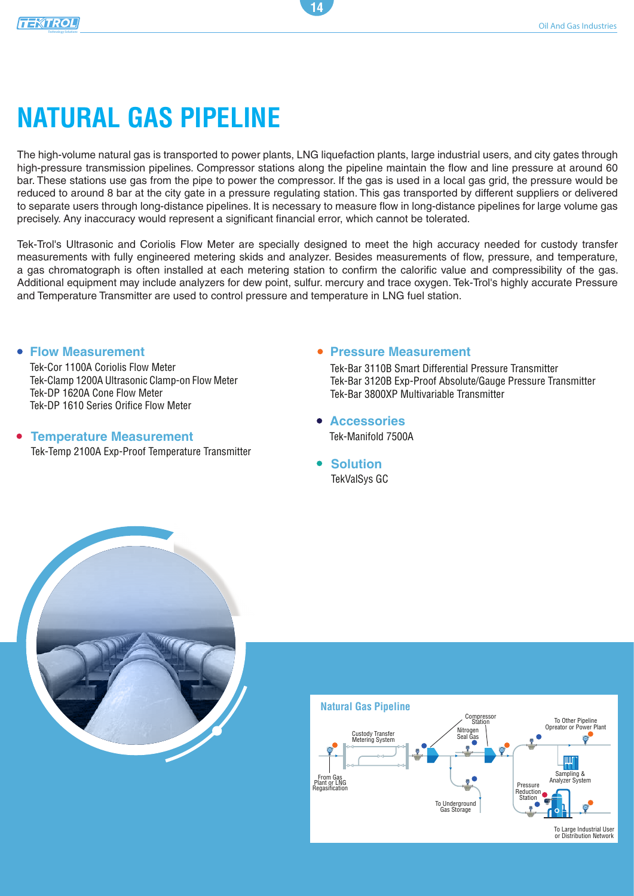# **NATURAL GAS PIPELINE**

The high-volume natural gas is transported to power plants, LNG liquefaction plants, large industrial users, and city gates through high-pressure transmission pipelines. Compressor stations along the pipeline maintain the flow and line pressure at around 60 bar. These stations use gas from the pipe to power the compressor. If the gas is used in a local gas grid, the pressure would be reduced to around 8 bar at the city gate in a pressure regulating station. This gas transported by different suppliers or delivered to separate users through long-distance pipelines. It is necessary to measure flow in long-distance pipelines for large volume gas precisely. Any inaccuracy would represent a significant financial error, which cannot be tolerated.

**14**

Tek-Trol's Ultrasonic and Coriolis Flow Meter are specially designed to meet the high accuracy needed for custody transfer measurements with fully engineered metering skids and analyzer. Besides measurements of flow, pressure, and temperature, a gas chromatograph is often installed at each metering station to confirm the calorific value and compressibility of the gas. Additional equipment may include analyzers for dew point, sulfur. mercury and trace oxygen. Tek-Trol's highly accurate Pressure and Temperature Transmitter are used to control pressure and temperature in LNG fuel station.

#### **Flow Measurement**

Tek-Cor 1100A Coriolis Flow Meter Tek-Clamp 1200A Ultrasonic Clamp-on Flow Meter Tek-DP 1620A Cone Flow Meter Tek-DP 1610 Series Orifice Flow Meter

### **Temperature Measurement**

Tek-Temp 2100A Exp-Proof Temperature Transmitter

### **Pressure Measurement**

Tek-Bar 3110B Smart Differential Pressure Transmitter Tek-Bar 3120B Exp-Proof Absolute/Gauge Pressure Transmitter Tek-Bar 3800XP Multivariable Transmitter

- **Accessories** Tek-Manifold 7500A
- **Solution** TekValSys GC